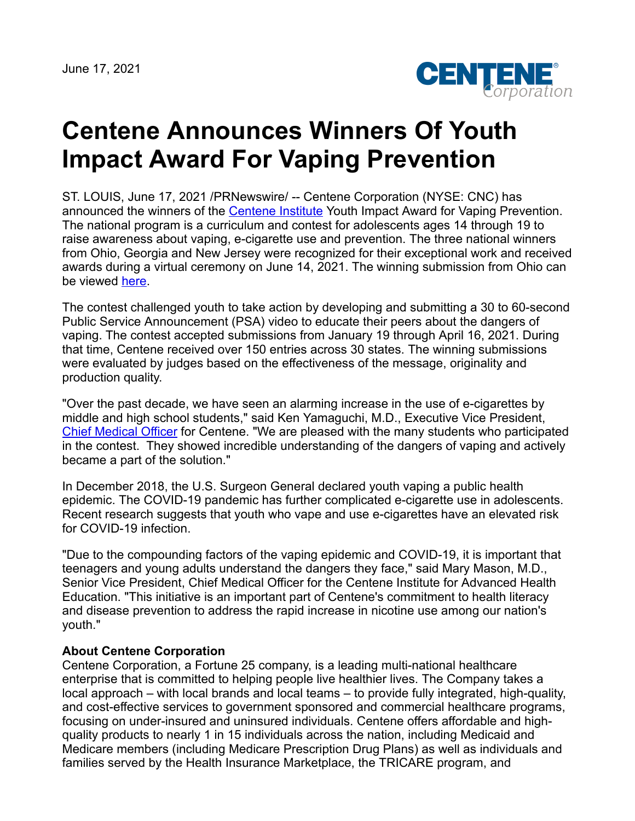June 17, 2021



## **Centene Announces Winners Of Youth Impact Award For Vaping Prevention**

ST. LOUIS, June 17, 2021 /PRNewswire/ -- Centene Corporation (NYSE: CNC) has announced the winners of the [Centene Institute](https://www.centeneinstituteaward.com/vapingprevention) Youth Impact Award for Vaping Prevention. The national program is a curriculum and contest for adolescents ages 14 through 19 to raise awareness about vaping, e-cigarette use and prevention. The three national winners from Ohio, Georgia and New Jersey were recognized for their exceptional work and received awards during a virtual ceremony on June 14, 2021. The winning submission from Ohio can be viewed [here.](https://www.youtube.com/watch?v=TuZ7tPYeDk8)

The contest challenged youth to take action by developing and submitting a 30 to 60-second Public Service Announcement (PSA) video to educate their peers about the dangers of vaping. The contest accepted submissions from January 19 through April 16, 2021. During that time, Centene received over 150 entries across 30 states. The winning submissions were evaluated by judges based on the effectiveness of the message, originality and production quality.

"Over the past decade, we have seen an alarming increase in the use of e-cigarettes by middle and high school students," said Ken Yamaguchi, M.D., Executive Vice President, [Chief Medical Officer](https://www.youtube.com/watch?v=hGYE_NJ4O4s&feature=youtu.be) for Centene. "We are pleased with the many students who participated in the contest. They showed incredible understanding of the dangers of vaping and actively became a part of the solution."

In December 2018, the U.S. Surgeon General declared youth vaping a public health epidemic. The COVID-19 pandemic has further complicated e-cigarette use in adolescents. Recent research suggests that youth who vape and use e-cigarettes have an elevated risk for COVID-19 infection.

"Due to the compounding factors of the vaping epidemic and COVID-19, it is important that teenagers and young adults understand the dangers they face," said Mary Mason, M.D., Senior Vice President, Chief Medical Officer for the Centene Institute for Advanced Health Education. "This initiative is an important part of Centene's commitment to health literacy and disease prevention to address the rapid increase in nicotine use among our nation's youth."

## **About Centene Corporation**

Centene Corporation, a Fortune 25 company, is a leading multi-national healthcare enterprise that is committed to helping people live healthier lives. The Company takes a local approach – with local brands and local teams – to provide fully integrated, high-quality, and cost-effective services to government sponsored and commercial healthcare programs, focusing on under-insured and uninsured individuals. Centene offers affordable and highquality products to nearly 1 in 15 individuals across the nation, including Medicaid and Medicare members (including Medicare Prescription Drug Plans) as well as individuals and families served by the Health Insurance Marketplace, the TRICARE program, and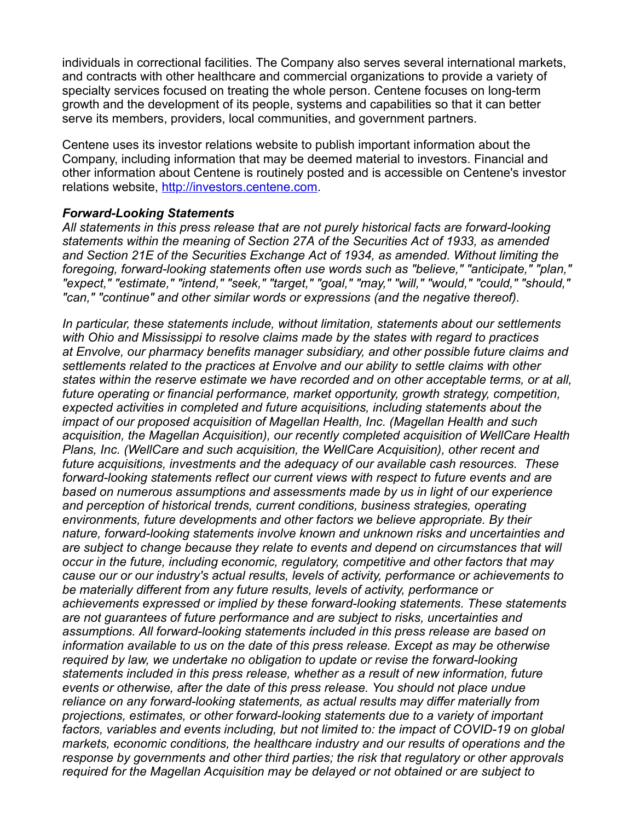individuals in correctional facilities. The Company also serves several international markets, and contracts with other healthcare and commercial organizations to provide a variety of specialty services focused on treating the whole person. Centene focuses on long-term growth and the development of its people, systems and capabilities so that it can better serve its members, providers, local communities, and government partners.

Centene uses its investor relations website to publish important information about the Company, including information that may be deemed material to investors. Financial and other information about Centene is routinely posted and is accessible on Centene's investor relations website, [http://investors.centene.com](http://investors.centene.com/).

## *Forward-Looking Statements*

*All statements in this press release that are not purely historical facts are forward-looking statements within the meaning of Section 27A of the Securities Act of 1933, as amended and Section 21E of the Securities Exchange Act of 1934, as amended. Without limiting the foregoing, forward-looking statements often use words such as "believe," "anticipate," "plan," "expect," "estimate," "intend," "seek," "target," "goal," "may," "will," "would," "could," "should," "can," "continue" and other similar words or expressions (and the negative thereof).*

*In particular, these statements include, without limitation, statements about our settlements with Ohio and Mississippi to resolve claims made by the states with regard to practices at Envolve, our pharmacy benefits manager subsidiary, and other possible future claims and settlements related to the practices at Envolve and our ability to settle claims with other states within the reserve estimate we have recorded and on other acceptable terms, or at all, future operating or financial performance, market opportunity, growth strategy, competition, expected activities in completed and future acquisitions, including statements about the impact of our proposed acquisition of Magellan Health, Inc. (Magellan Health and such acquisition, the Magellan Acquisition), our recently completed acquisition of WellCare Health Plans, Inc. (WellCare and such acquisition, the WellCare Acquisition), other recent and future acquisitions, investments and the adequacy of our available cash resources. These forward-looking statements reflect our current views with respect to future events and are based on numerous assumptions and assessments made by us in light of our experience and perception of historical trends, current conditions, business strategies, operating environments, future developments and other factors we believe appropriate. By their nature, forward-looking statements involve known and unknown risks and uncertainties and are subject to change because they relate to events and depend on circumstances that will occur in the future, including economic, regulatory, competitive and other factors that may cause our or our industry's actual results, levels of activity, performance or achievements to be materially different from any future results, levels of activity, performance or achievements expressed or implied by these forward-looking statements. These statements are not guarantees of future performance and are subject to risks, uncertainties and assumptions. All forward-looking statements included in this press release are based on information available to us on the date of this press release. Except as may be otherwise required by law, we undertake no obligation to update or revise the forward-looking statements included in this press release, whether as a result of new information, future events or otherwise, after the date of this press release. You should not place undue reliance on any forward-looking statements, as actual results may differ materially from projections, estimates, or other forward-looking statements due to a variety of important factors, variables and events including, but not limited to: the impact of COVID-19 on global markets, economic conditions, the healthcare industry and our results of operations and the response by governments and other third parties; the risk that regulatory or other approvals required for the Magellan Acquisition may be delayed or not obtained or are subject to*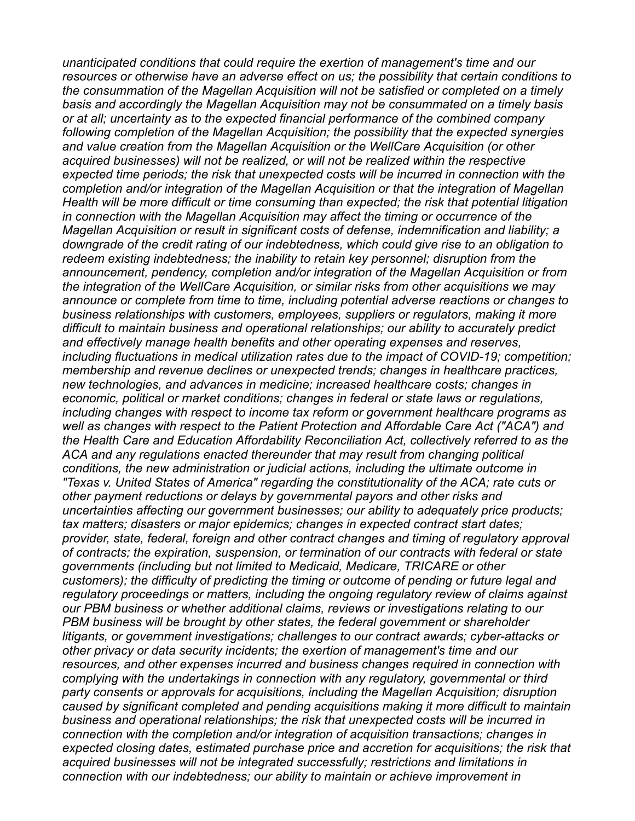*unanticipated conditions that could require the exertion of management's time and our resources or otherwise have an adverse effect on us; the possibility that certain conditions to the consummation of the Magellan Acquisition will not be satisfied or completed on a timely basis and accordingly the Magellan Acquisition may not be consummated on a timely basis or at all; uncertainty as to the expected financial performance of the combined company following completion of the Magellan Acquisition; the possibility that the expected synergies and value creation from the Magellan Acquisition or the WellCare Acquisition (or other acquired businesses) will not be realized, or will not be realized within the respective expected time periods; the risk that unexpected costs will be incurred in connection with the completion and/or integration of the Magellan Acquisition or that the integration of Magellan Health will be more difficult or time consuming than expected; the risk that potential litigation in connection with the Magellan Acquisition may affect the timing or occurrence of the Magellan Acquisition or result in significant costs of defense, indemnification and liability; a downgrade of the credit rating of our indebtedness, which could give rise to an obligation to redeem existing indebtedness; the inability to retain key personnel; disruption from the announcement, pendency, completion and/or integration of the Magellan Acquisition or from the integration of the WellCare Acquisition, or similar risks from other acquisitions we may announce or complete from time to time, including potential adverse reactions or changes to business relationships with customers, employees, suppliers or regulators, making it more difficult to maintain business and operational relationships; our ability to accurately predict and effectively manage health benefits and other operating expenses and reserves, including fluctuations in medical utilization rates due to the impact of COVID-19; competition; membership and revenue declines or unexpected trends; changes in healthcare practices, new technologies, and advances in medicine; increased healthcare costs; changes in economic, political or market conditions; changes in federal or state laws or regulations, including changes with respect to income tax reform or government healthcare programs as well as changes with respect to the Patient Protection and Affordable Care Act ("ACA") and the Health Care and Education Affordability Reconciliation Act, collectively referred to as the ACA and any regulations enacted thereunder that may result from changing political conditions, the new administration or judicial actions, including the ultimate outcome in "Texas v. United States of America" regarding the constitutionality of the ACA; rate cuts or other payment reductions or delays by governmental payors and other risks and uncertainties affecting our government businesses; our ability to adequately price products; tax matters; disasters or major epidemics; changes in expected contract start dates; provider, state, federal, foreign and other contract changes and timing of regulatory approval of contracts; the expiration, suspension, or termination of our contracts with federal or state governments (including but not limited to Medicaid, Medicare, TRICARE or other customers); the difficulty of predicting the timing or outcome of pending or future legal and regulatory proceedings or matters, including the ongoing regulatory review of claims against our PBM business or whether additional claims, reviews or investigations relating to our PBM business will be brought by other states, the federal government or shareholder litigants, or government investigations; challenges to our contract awards; cyber-attacks or other privacy or data security incidents; the exertion of management's time and our resources, and other expenses incurred and business changes required in connection with complying with the undertakings in connection with any regulatory, governmental or third party consents or approvals for acquisitions, including the Magellan Acquisition; disruption caused by significant completed and pending acquisitions making it more difficult to maintain business and operational relationships; the risk that unexpected costs will be incurred in connection with the completion and/or integration of acquisition transactions; changes in expected closing dates, estimated purchase price and accretion for acquisitions; the risk that acquired businesses will not be integrated successfully; restrictions and limitations in connection with our indebtedness; our ability to maintain or achieve improvement in*